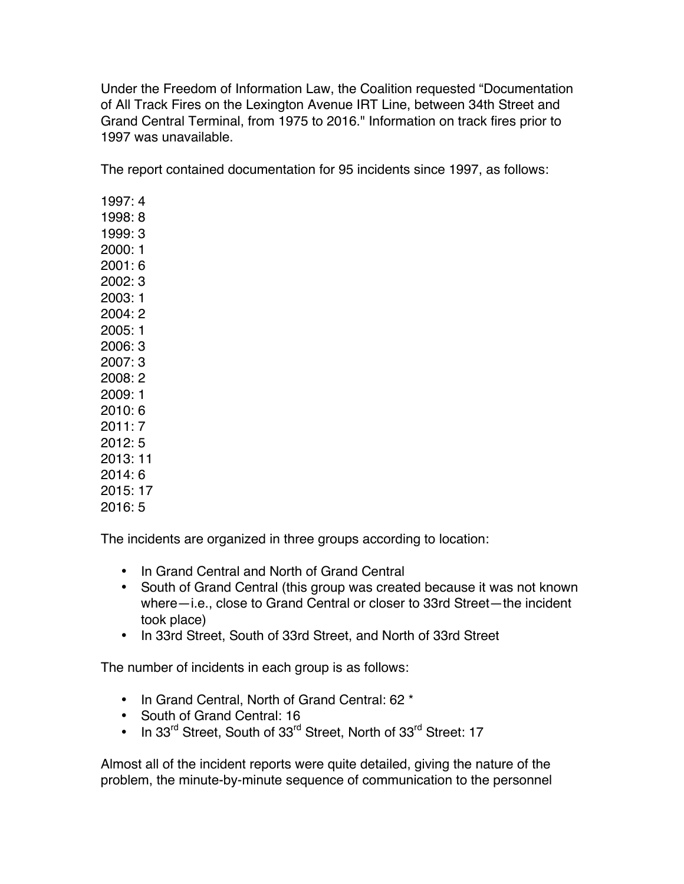Under the Freedom of Information Law, the Coalition requested "Documentation of All Track Fires on the Lexington Avenue IRT Line, between 34th Street and Grand Central Terminal, from 1975 to 2016." Information on track fires prior to 1997 was unavailable.

The report contained documentation for 95 incidents since 1997, as follows:

1997: 4 1998: 8 1999: 3 2000: 1 2001: 6 2002: 3  $2003 \cdot 1$ 2004: 2 2005: 1 2006: 3 2007: 3 2008: 2 2009: 1 2010: 6 2011: 7 2012: 5 2013: 11 2014: 6 2015: 17 2016: 5

The incidents are organized in three groups according to location:

- In Grand Central and North of Grand Central
- South of Grand Central (this group was created because it was not known where—i.e., close to Grand Central or closer to 33rd Street—the incident took place)
- In 33rd Street, South of 33rd Street, and North of 33rd Street

The number of incidents in each group is as follows:

- In Grand Central, North of Grand Central: 62 \*
- South of Grand Central: 16
- In 33<sup>rd</sup> Street, South of 33<sup>rd</sup> Street, North of 33<sup>rd</sup> Street: 17

Almost all of the incident reports were quite detailed, giving the nature of the problem, the minute-by-minute sequence of communication to the personnel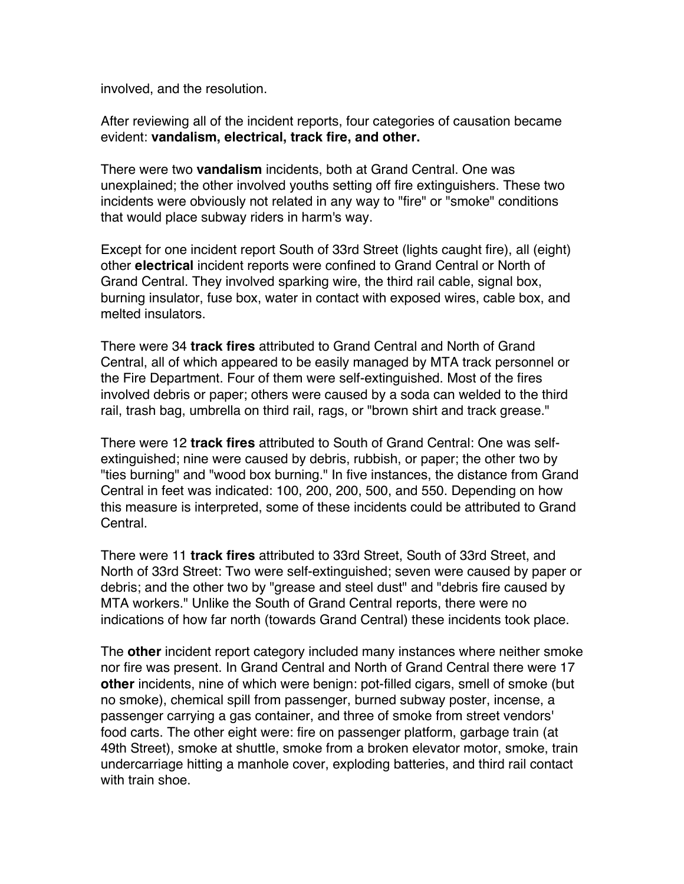involved, and the resolution.

After reviewing all of the incident reports, four categories of causation became evident: **vandalism, electrical, track fire, and other.**

There were two **vandalism** incidents, both at Grand Central. One was unexplained; the other involved youths setting off fire extinguishers. These two incidents were obviously not related in any way to "fire" or "smoke" conditions that would place subway riders in harm's way.

Except for one incident report South of 33rd Street (lights caught fire), all (eight) other **electrical** incident reports were confined to Grand Central or North of Grand Central. They involved sparking wire, the third rail cable, signal box, burning insulator, fuse box, water in contact with exposed wires, cable box, and melted insulators.

There were 34 **track fires** attributed to Grand Central and North of Grand Central, all of which appeared to be easily managed by MTA track personnel or the Fire Department. Four of them were self-extinguished. Most of the fires involved debris or paper; others were caused by a soda can welded to the third rail, trash bag, umbrella on third rail, rags, or "brown shirt and track grease."

There were 12 **track fires** attributed to South of Grand Central: One was selfextinguished; nine were caused by debris, rubbish, or paper; the other two by "ties burning" and "wood box burning." In five instances, the distance from Grand Central in feet was indicated: 100, 200, 200, 500, and 550. Depending on how this measure is interpreted, some of these incidents could be attributed to Grand Central.

There were 11 **track fires** attributed to 33rd Street, South of 33rd Street, and North of 33rd Street: Two were self-extinguished; seven were caused by paper or debris; and the other two by "grease and steel dust" and "debris fire caused by MTA workers." Unlike the South of Grand Central reports, there were no indications of how far north (towards Grand Central) these incidents took place.

The **other** incident report category included many instances where neither smoke nor fire was present. In Grand Central and North of Grand Central there were 17 **other** incidents, nine of which were benign: pot-filled cigars, smell of smoke (but no smoke), chemical spill from passenger, burned subway poster, incense, a passenger carrying a gas container, and three of smoke from street vendors' food carts. The other eight were: fire on passenger platform, garbage train (at 49th Street), smoke at shuttle, smoke from a broken elevator motor, smoke, train undercarriage hitting a manhole cover, exploding batteries, and third rail contact with train shoe.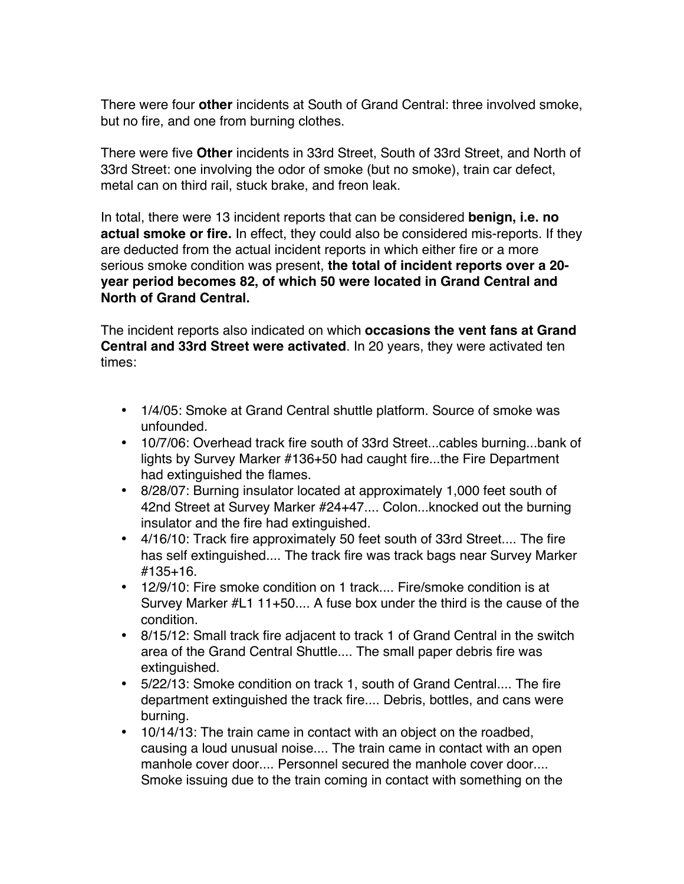There were four **other** incidents at South of Grand Central: three involved smoke, but no fire, and one from burning clothes.

There were five **Other** incidents in 33rd Street, South of 33rd Street, and North of 33rd Street: one involving the odor of smoke (but no smoke), train car defect, metal can on third rail, stuck brake, and freon leak.

In total, there were 13 incident reports that can be considered **benign, i.e. no actual smoke or fire.** In effect, they could also be considered mis-reports. If they are deducted from the actual incident reports in which either fire or a more serious smoke condition was present, **the total of incident reports over a 20 year period becomes 82, of which 50 were located in Grand Central and North of Grand Central.**

The incident reports also indicated on which **occasions the vent fans at Grand Central and 33rd Street were activated**. In 20 years, they were activated ten times:

- 1/4/05: Smoke at Grand Central shuttle platform. Source of smoke was unfounded.
- 10/7/06: Overhead track fire south of 33rd Street...cables burning...bank of lights by Survey Marker #136+50 had caught fire...the Fire Department had extinguished the flames.
- 8/28/07: Burning insulator located at approximately 1,000 feet south of 42nd Street at Survey Marker #24+47.... Colon...knocked out the burning insulator and the fire had extinguished.
- 4/16/10: Track fire approximately 50 feet south of 33rd Street.... The fire has self extinguished.... The track fire was track bags near Survey Marker #135+16.
- 12/9/10: Fire smoke condition on 1 track.... Fire/smoke condition is at Survey Marker #L1 11+50.... A fuse box under the third is the cause of the condition.
- 8/15/12: Small track fire adjacent to track 1 of Grand Central in the switch area of the Grand Central Shuttle.... The small paper debris fire was extinguished.
- 5/22/13: Smoke condition on track 1, south of Grand Central.... The fire department extinguished the track fire.... Debris, bottles, and cans were burning.
- 10/14/13: The train came in contact with an object on the roadbed, causing a loud unusual noise.... The train came in contact with an open manhole cover door.... Personnel secured the manhole cover door.... Smoke issuing due to the train coming in contact with something on the